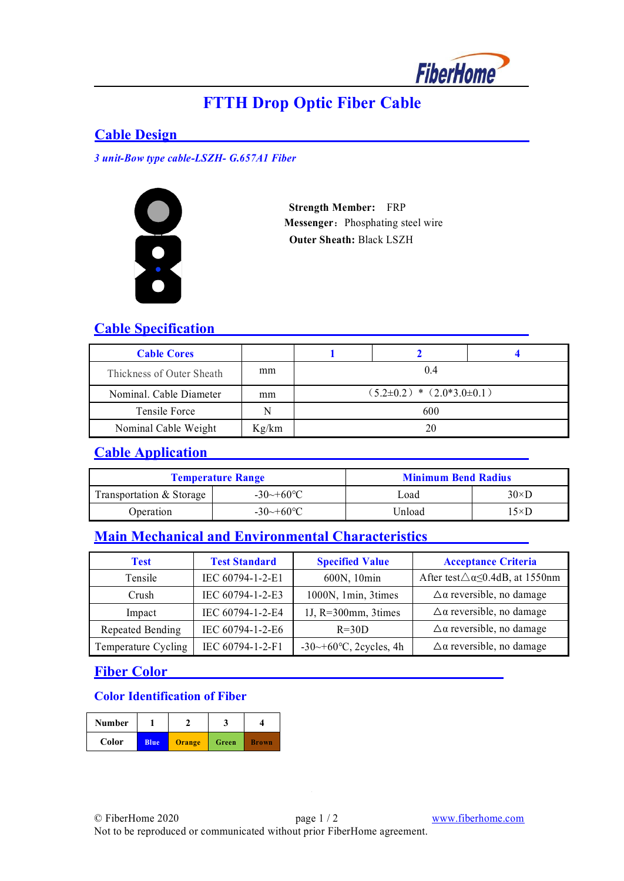

# **FTTH Drop Optic Fiber Cable**

#### **Cable Design**

*3 unit-Bow type cable-LSZH- G.657A1 Fiber*



 **Strength Member:** FRP **Messenger:** Phosphating steel wire **Outer Sheath:** Black LSZH

### **Cable Specification**

| <b>Cable Cores</b>        |       |                                 |  |  |
|---------------------------|-------|---------------------------------|--|--|
| Thickness of Outer Sheath | mm    | 0.4                             |  |  |
| Nominal. Cable Diameter   | mm    | $(5.2\pm0.2) * (2.0*3.0\pm0.1)$ |  |  |
| Tensile Force             | N     | 600                             |  |  |
| Nominal Cable Weight      | Kg/km | 20                              |  |  |

### **Cable Application**

|                          | <b>Temperature Range</b> | <b>Minimum Bend Radius</b> |              |
|--------------------------|--------------------------|----------------------------|--------------|
| Transportation & Storage | $-30 \rightarrow +60$ °C | Load                       | $30\times D$ |
| Operation                | $-30 \rightarrow +60$ °C | Unload                     | $15\times D$ |

## **Main Mechanical and Environmental Characteristics**

| Test                | <b>Test Standard</b> | <b>Specified Value</b>                | <b>Acceptance Criteria</b>                           |
|---------------------|----------------------|---------------------------------------|------------------------------------------------------|
| Tensile             | IEC 60794-1-2-E1     | 600N, 10min                           | After test $\triangle \alpha \leq 0.4$ dB, at 1550nm |
| <b>Crush</b>        | IEC 60794-1-2-E3     | 1000N, 1min, 3times                   | $\Delta\alpha$ reversible, no damage                 |
| Impact              | IEC 60794-1-2-E4     | 1J, $R=300$ mm, 3times                | $\Delta\alpha$ reversible, no damage                 |
| Repeated Bending    | IEC 60794-1-2-E6     | $R = 30D$                             | $\Delta \alpha$ reversible, no damage                |
| Temperature Cycling | IEC 60794-1-2-F1     | $-30 \rightarrow +60$ °C, 2cycles, 4h | $\Delta \alpha$ reversible, no damage                |

### **Fiber Color**

#### **Color Identification of Fiber**

| <b>Number</b> |             |        |       |              |
|---------------|-------------|--------|-------|--------------|
| Color         | <b>Blue</b> | Orange | Green | <b>Brown</b> |